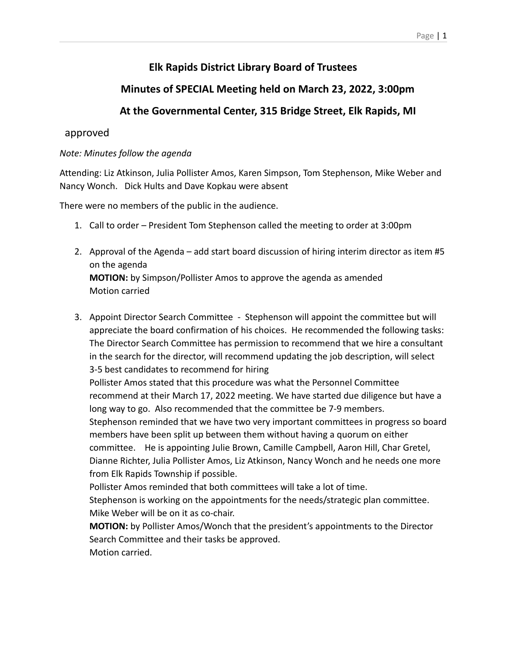#### Page | 1

# **Elk Rapids District Library Board of Trustees**

# **Minutes of SPECIAL Meeting held on March 23, 2022, 3:00pm**

## **At the Governmental Center, 315 Bridge Street, Elk Rapids, MI**

### approved

### *Note: Minutes follow the agenda*

Attending: Liz Atkinson, Julia Pollister Amos, Karen Simpson, Tom Stephenson, Mike Weber and Nancy Wonch. Dick Hults and Dave Kopkau were absent

There were no members of the public in the audience.

- 1. Call to order President Tom Stephenson called the meeting to order at 3:00pm
- 2. Approval of the Agenda add start board discussion of hiring interim director as item #5 on the agenda **MOTION:** by Simpson/Pollister Amos to approve the agenda as amended Motion carried
- 3. Appoint Director Search Committee Stephenson will appoint the committee but will appreciate the board confirmation of his choices. He recommended the following tasks: The Director Search Committee has permission to recommend that we hire a consultant in the search for the director, will recommend updating the job description, will select 3-5 best candidates to recommend for hiring

Pollister Amos stated that this procedure was what the Personnel Committee recommend at their March 17, 2022 meeting. We have started due diligence but have a long way to go. Also recommended that the committee be 7-9 members.

Stephenson reminded that we have two very important committees in progress so board members have been split up between them without having a quorum on either

committee. He is appointing Julie Brown, Camille Campbell, Aaron Hill, Char Gretel, Dianne Richter, Julia Pollister Amos, Liz Atkinson, Nancy Wonch and he needs one more from Elk Rapids Township if possible.

Pollister Amos reminded that both committees will take a lot of time.

Stephenson is working on the appointments for the needs/strategic plan committee. Mike Weber will be on it as co-chair.

**MOTION:** by Pollister Amos/Wonch that the president's appointments to the Director Search Committee and their tasks be approved. Motion carried.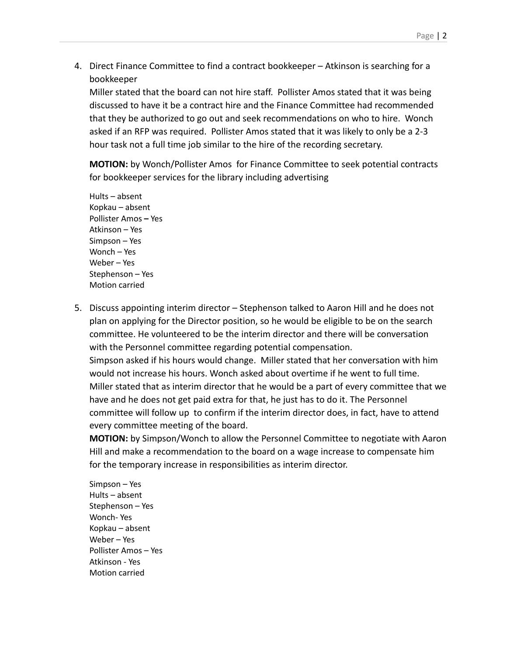4. Direct Finance Committee to find a contract bookkeeper – Atkinson is searching for a bookkeeper

Miller stated that the board can not hire staff. Pollister Amos stated that it was being discussed to have it be a contract hire and the Finance Committee had recommended that they be authorized to go out and seek recommendations on who to hire. Wonch asked if an RFP was required. Pollister Amos stated that it was likely to only be a 2-3 hour task not a full time job similar to the hire of the recording secretary.

**MOTION:** by Wonch/Pollister Amos for Finance Committee to seek potential contracts for bookkeeper services for the library including advertising

Hults – absent Kopkau – absent Pollister Amos **–** Yes Atkinson – Yes Simpson – Yes Wonch – Yes Weber – Yes Stephenson – Yes Motion carried

5. Discuss appointing interim director – Stephenson talked to Aaron Hill and he does not plan on applying for the Director position, so he would be eligible to be on the search committee. He volunteered to be the interim director and there will be conversation with the Personnel committee regarding potential compensation. Simpson asked if his hours would change. Miller stated that her conversation with him would not increase his hours. Wonch asked about overtime if he went to full time. Miller stated that as interim director that he would be a part of every committee that we have and he does not get paid extra for that, he just has to do it. The Personnel committee will follow up to confirm if the interim director does, in fact, have to attend every committee meeting of the board.

**MOTION:** by Simpson/Wonch to allow the Personnel Committee to negotiate with Aaron Hill and make a recommendation to the board on a wage increase to compensate him for the temporary increase in responsibilities as interim director.

Simpson – Yes Hults – absent Stephenson – Yes Wonch- Yes Kopkau – absent Weber – Yes Pollister Amos – Yes Atkinson - Yes Motion carried